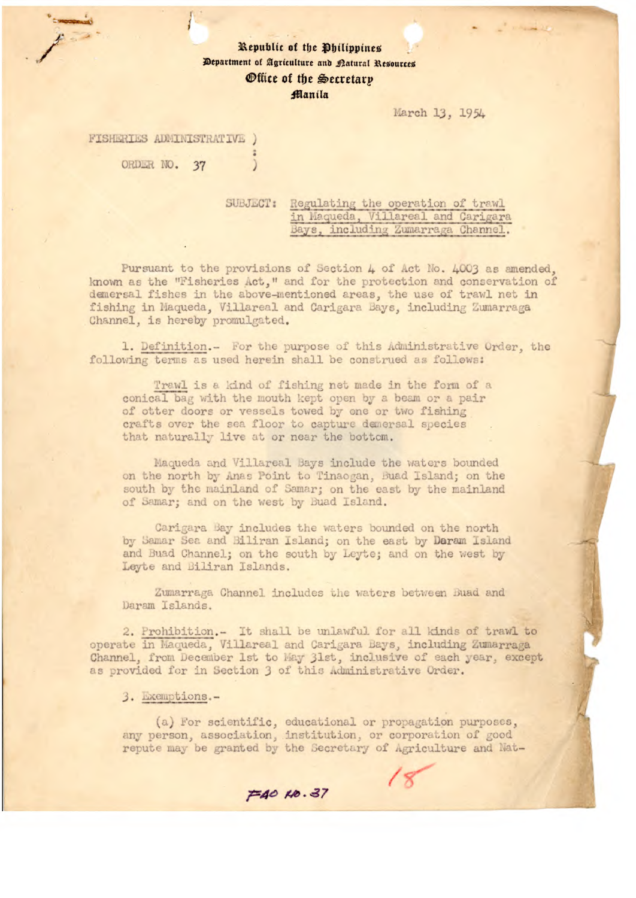## Republic of the Philippines Department of Agriculture and Natural Resources *Office of the Secretary* Manila

March 13, 1954

FISHERIES ADMINISTRATIVE )

ORDER NO. 37

SUBJECT: Regulating the operation of trawl in Maqueda, Villareal and Carigara Bays, including Zumarraga Channel.

Pursuant to the provisions of Section 4 of Act No. 4003 as amended, known as the "Fisheries Act," and for the protection and conservation of demersal fishes in the above-mentioned areas, the use of trawl net in fishing in Maqueda, Villareal and Carigara Bays, including Zumarraga Channel, is hereby promulgated.

1. Definition.- For the purpose of this Administrative Order, the following terms as used herein shall be construed as follows:

Trawl is a kind of fishing net made in the form of a conical bag with the mouth kept open by a beam or a pair of otter doors or vessels towed by one or two fishing crafts over the sea floor to capture demersal species that naturally live at or near the bottom.

Maqueda and Villareal Bays include the waters bounded on the north by Anas Point to Tinaogan, Buad Island; on the south by the mainland of Samar; on the east by the mainland of Samar; and on the west by Buad Island.

Carigara Bay includes the waters bounded on the north by Samar Sea and Biliran Island; on the east by Daram Island and Buad Channel; on the south by Leyte; and on the west by Leyte and Biliran Islands.

Zumarraga Channel includes the waters between Buad and Daram Islands.

2. Prohibition.- It shall be unlawful for all kinds of trawl to operate in Maqueda, Villareal and Carigara Bays, including Zumarraga Channel, from December 1st to May 31st, inclusive of each year, except as provided for in Section 3 of this Administrative Order.

3. Exemptions.-

(a) For scientific, educational or propagation purposes, any person, association, institution, or corporation of good repute may be granted by the Secretary of Agriculture and Nat-

 $\equiv$ 40  $\mu$ 0.37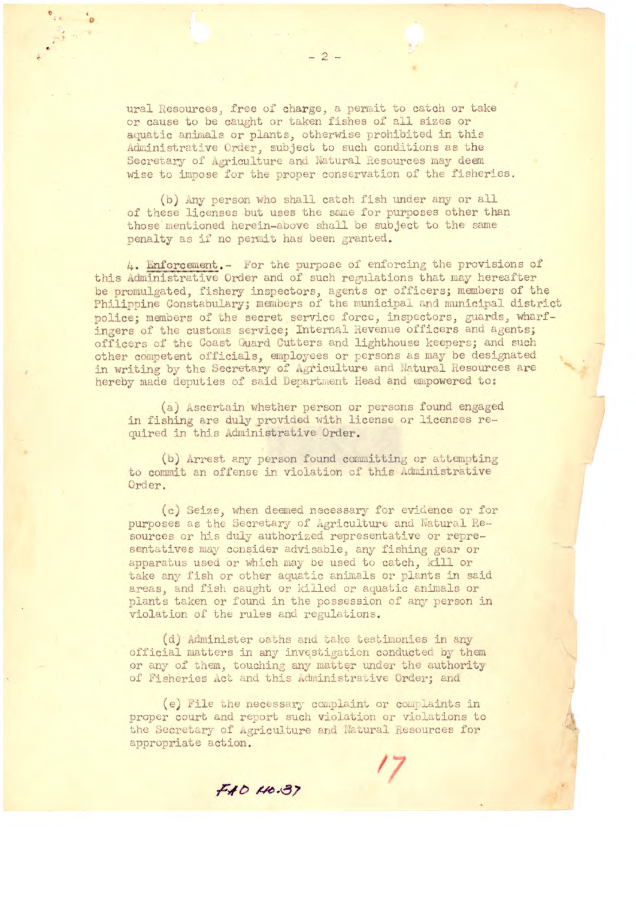ural Resources, free of charge, a permit to catch or take or cause to be caught or taken fishes of all sizes or aquatic animals or plants, otherwise prohibited in this Administrative Order, subject to such conditions as the Secretary of Agriculture and Natural Resources may deem wise to impose for the proper conservation of the fisheries.

(b) Any person who shall catch fish under any or all of these licenses but uses the same for purposes other than those mentioned herein-above shall be subject to the same penalty as if no permit has been granted.

4. Enforcement. - For the purpose of enforcing the provisions of this Administrative Order and of such regulations that may hereafter be promulgated, fishery inspectors, agents or officers; members of the Philippine Constabulary; members of the municipal and municipal district police; members of the secret service force, inspectors, guards, wharfingers of the customs service; Internal Revenue officers and agents; officers of the Coast Guard Cutters and lighthouse keepers; and such other competent officials, employees or persons as may be designated in writing by the Secretary of Agriculture and Natural Resources are hereby made deputies of said Department Head and empowered to:

(a) Ascertain whether person or persons found engaged in fishing are duly provided with license or licenses required in this Administrative Order.

(b) Arrest any person found committing or attempting to commit an offense in violation of this Administrative Order.

(c) Seize, when deemed necessary for evidence or for purposes as the Secretary of Agriculture and Natural Resources or his duly authorized representative or representatives may consider advisable, any fishing gear or apparatus used or which may be used to catch, kill or take any fish or other aquatic animals or plants in said areas, and fish caught or killed or aquatic animals or plants taken or found in the possession of any person in violation of the rules and regulations.

(d) Administer oaths and take testimonies in any official matters in any investigation conducted by them or any of them, touching any matter under the authority of Fisheries Act and this Administrative Order; and

(e) File the necessary complaint or complaints in proper court and report such violation or violations to the Secretary of Agriculture and Natural Resources for appropriate action.

FAD 110.37

 $-2-$